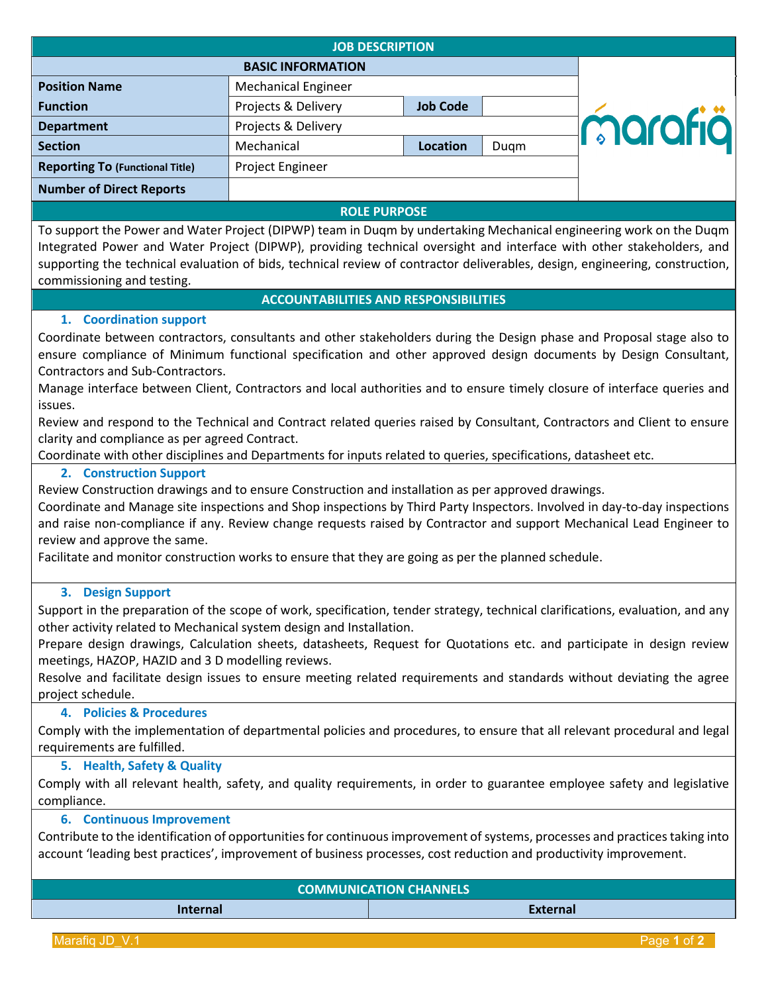| <b>JOB DESCRIPTION</b>                 |                            |                 |      |         |  |
|----------------------------------------|----------------------------|-----------------|------|---------|--|
| <b>BASIC INFORMATION</b>               |                            |                 |      |         |  |
| <b>Position Name</b>                   | <b>Mechanical Engineer</b> |                 |      |         |  |
| <b>Function</b>                        | Projects & Delivery        | <b>Job Code</b> |      |         |  |
| <b>Department</b>                      | Projects & Delivery        |                 |      | marafiä |  |
| <b>Section</b>                         | Mechanical                 | <b>Location</b> | Dugm |         |  |
| <b>Reporting To (Functional Title)</b> | Project Engineer           |                 |      |         |  |
| <b>Number of Direct Reports</b>        |                            |                 |      |         |  |
|                                        |                            |                 |      |         |  |

#### **ROLE PURPOSE**

To support the Power and Water Project (DIPWP) team in Duqm by undertaking Mechanical engineering work on the Duqm Integrated Power and Water Project (DIPWP), providing technical oversight and interface with other stakeholders, and supporting the technical evaluation of bids, technical review of contractor deliverables, design, engineering, construction, commissioning and testing.

## **ACCOUNTABILITIES AND RESPONSIBILITIES**

## **1. Coordination support**

Coordinate between contractors, consultants and other stakeholders during the Design phase and Proposal stage also to ensure compliance of Minimum functional specification and other approved design documents by Design Consultant, Contractors and Sub-Contractors.

Manage interface between Client, Contractors and local authorities and to ensure timely closure of interface queries and issues.

Review and respond to the Technical and Contract related queries raised by Consultant, Contractors and Client to ensure clarity and compliance as per agreed Contract.

Coordinate with other disciplines and Departments for inputs related to queries, specifications, datasheet etc.

## **2. Construction Support**

Review Construction drawings and to ensure Construction and installation as per approved drawings.

Coordinate and Manage site inspections and Shop inspections by Third Party Inspectors. Involved in day-to-day inspections and raise non-compliance if any. Review change requests raised by Contractor and support Mechanical Lead Engineer to review and approve the same.

Facilitate and monitor construction works to ensure that they are going as per the planned schedule.

## **3. Design Support**

Support in the preparation of the scope of work, specification, tender strategy, technical clarifications, evaluation, and any other activity related to Mechanical system design and Installation.

Prepare design drawings, Calculation sheets, datasheets, Request for Quotations etc. and participate in design review meetings, HAZOP, HAZID and 3 D modelling reviews.

Resolve and facilitate design issues to ensure meeting related requirements and standards without deviating the agree project schedule.

## **4. Policies & Procedures**

Comply with the implementation of departmental policies and procedures, to ensure that all relevant procedural and legal requirements are fulfilled.

## **5. Health, Safety & Quality**

Comply with all relevant health, safety, and quality requirements, in order to guarantee employee safety and legislative compliance.

#### **6. Continuous Improvement**

Contribute to the identification of opportunities for continuous improvement of systems, processes and practices taking into account 'leading best practices', improvement of business processes, cost reduction and productivity improvement.

| <b>COMMUNICATION CHANNELS</b> |                 |  |  |
|-------------------------------|-----------------|--|--|
| <b>Internal</b>               | <b>External</b> |  |  |